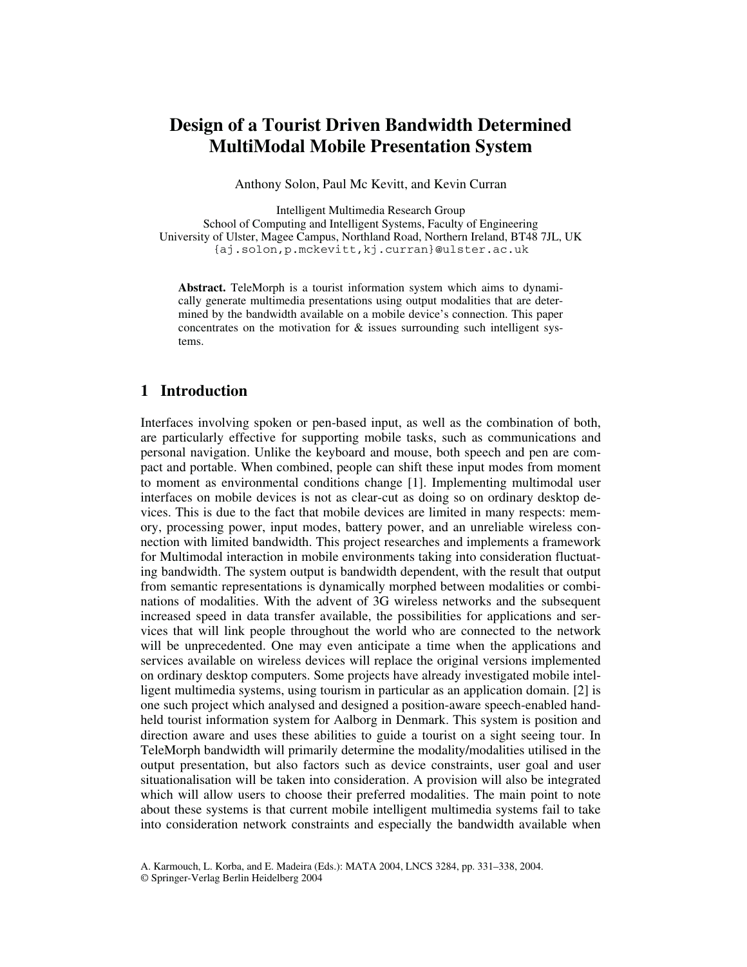# **Design of a Tourist Driven Bandwidth Determined MultiModal Mobile Presentation System**

Anthony Solon, Paul Mc Kevitt, and Kevin Curran

Intelligent Multimedia Research Group School of Computing and Intelligent Systems, Faculty of Engineering University of Ulster, Magee Campus, Northland Road, Northern Ireland, BT48 7JL, UK {aj.solon,p.mckevitt,kj.curran}@ulster.ac.uk

**Abstract.** TeleMorph is a tourist information system which aims to dynamically generate multimedia presentations using output modalities that are determined by the bandwidth available on a mobile device's connection. This paper concentrates on the motivation for  $\&$  issues surrounding such intelligent systems.

# **1 Introduction**

Interfaces involving spoken or pen-based input, as well as the combination of both, are particularly effective for supporting mobile tasks, such as communications and personal navigation. Unlike the keyboard and mouse, both speech and pen are compact and portable. When combined, people can shift these input modes from moment to moment as environmental conditions change [1]. Implementing multimodal user interfaces on mobile devices is not as clear-cut as doing so on ordinary desktop devices. This is due to the fact that mobile devices are limited in many respects: memory, processing power, input modes, battery power, and an unreliable wireless connection with limited bandwidth. This project researches and implements a framework for Multimodal interaction in mobile environments taking into consideration fluctuating bandwidth. The system output is bandwidth dependent, with the result that output from semantic representations is dynamically morphed between modalities or combinations of modalities. With the advent of 3G wireless networks and the subsequent increased speed in data transfer available, the possibilities for applications and services that will link people throughout the world who are connected to the network will be unprecedented. One may even anticipate a time when the applications and services available on wireless devices will replace the original versions implemented on ordinary desktop computers. Some projects have already investigated mobile intelligent multimedia systems, using tourism in particular as an application domain. [2] is one such project which analysed and designed a position-aware speech-enabled handheld tourist information system for Aalborg in Denmark. This system is position and direction aware and uses these abilities to guide a tourist on a sight seeing tour. In TeleMorph bandwidth will primarily determine the modality/modalities utilised in the output presentation, but also factors such as device constraints, user goal and user situationalisation will be taken into consideration. A provision will also be integrated which will allow users to choose their preferred modalities. The main point to note about these systems is that current mobile intelligent multimedia systems fail to take into consideration network constraints and especially the bandwidth available when

A. Karmouch, L. Korba, and E. Madeira (Eds.): MATA 2004, LNCS 3284, pp. 331–338, 2004.

<sup>©</sup> Springer-Verlag Berlin Heidelberg 2004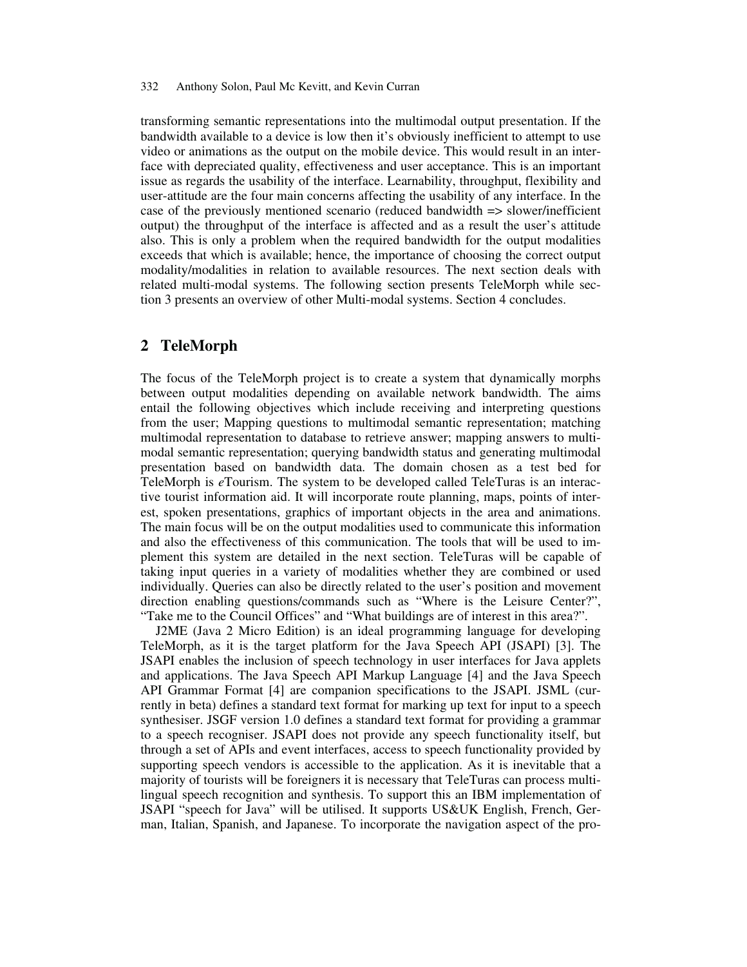transforming semantic representations into the multimodal output presentation. If the bandwidth available to a device is low then it's obviously inefficient to attempt to use video or animations as the output on the mobile device. This would result in an interface with depreciated quality, effectiveness and user acceptance. This is an important issue as regards the usability of the interface. Learnability, throughput, flexibility and user-attitude are the four main concerns affecting the usability of any interface. In the case of the previously mentioned scenario (reduced bandwidth => slower/inefficient output) the throughput of the interface is affected and as a result the user's attitude also. This is only a problem when the required bandwidth for the output modalities exceeds that which is available; hence, the importance of choosing the correct output modality/modalities in relation to available resources. The next section deals with related multi-modal systems. The following section presents TeleMorph while section 3 presents an overview of other Multi-modal systems. Section 4 concludes.

# **2 TeleMorph**

The focus of the TeleMorph project is to create a system that dynamically morphs between output modalities depending on available network bandwidth. The aims entail the following objectives which include receiving and interpreting questions from the user; Mapping questions to multimodal semantic representation; matching multimodal representation to database to retrieve answer; mapping answers to multimodal semantic representation; querying bandwidth status and generating multimodal presentation based on bandwidth data. The domain chosen as a test bed for TeleMorph is *e*Tourism. The system to be developed called TeleTuras is an interactive tourist information aid. It will incorporate route planning, maps, points of interest, spoken presentations, graphics of important objects in the area and animations. The main focus will be on the output modalities used to communicate this information and also the effectiveness of this communication. The tools that will be used to implement this system are detailed in the next section. TeleTuras will be capable of taking input queries in a variety of modalities whether they are combined or used individually. Queries can also be directly related to the user's position and movement direction enabling questions/commands such as "Where is the Leisure Center?", "Take me to the Council Offices" and "What buildings are of interest in this area?".

J2ME (Java 2 Micro Edition) is an ideal programming language for developing TeleMorph, as it is the target platform for the Java Speech API (JSAPI) [3]. The JSAPI enables the inclusion of speech technology in user interfaces for Java applets and applications. The Java Speech API Markup Language [4] and the Java Speech API Grammar Format [4] are companion specifications to the JSAPI. JSML (currently in beta) defines a standard text format for marking up text for input to a speech synthesiser. JSGF version 1.0 defines a standard text format for providing a grammar to a speech recogniser. JSAPI does not provide any speech functionality itself, but through a set of APIs and event interfaces, access to speech functionality provided by supporting speech vendors is accessible to the application. As it is inevitable that a majority of tourists will be foreigners it is necessary that TeleTuras can process multilingual speech recognition and synthesis. To support this an IBM implementation of JSAPI "speech for Java" will be utilised. It supports US&UK English, French, German, Italian, Spanish, and Japanese. To incorporate the navigation aspect of the pro-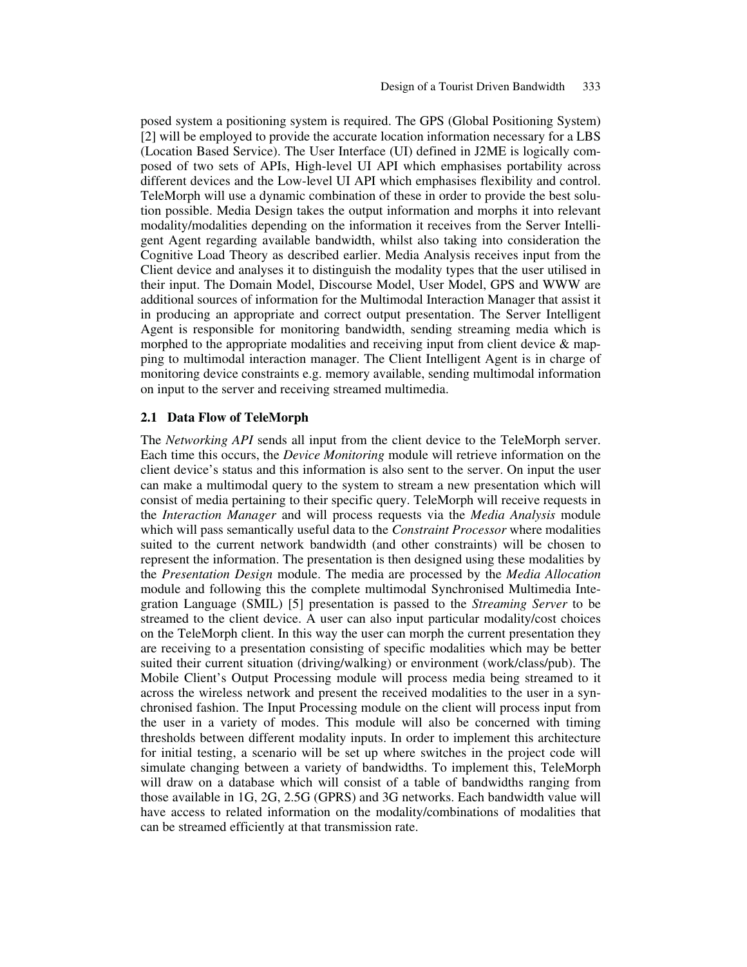posed system a positioning system is required. The GPS (Global Positioning System) [2] will be employed to provide the accurate location information necessary for a LBS (Location Based Service). The User Interface (UI) defined in J2ME is logically composed of two sets of APIs, High-level UI API which emphasises portability across different devices and the Low-level UI API which emphasises flexibility and control. TeleMorph will use a dynamic combination of these in order to provide the best solution possible. Media Design takes the output information and morphs it into relevant modality/modalities depending on the information it receives from the Server Intelligent Agent regarding available bandwidth, whilst also taking into consideration the Cognitive Load Theory as described earlier. Media Analysis receives input from the Client device and analyses it to distinguish the modality types that the user utilised in their input. The Domain Model, Discourse Model, User Model, GPS and WWW are additional sources of information for the Multimodal Interaction Manager that assist it in producing an appropriate and correct output presentation. The Server Intelligent Agent is responsible for monitoring bandwidth, sending streaming media which is morphed to the appropriate modalities and receiving input from client device  $\&$  mapping to multimodal interaction manager. The Client Intelligent Agent is in charge of monitoring device constraints e.g. memory available, sending multimodal information on input to the server and receiving streamed multimedia.

#### **2.1 Data Flow of TeleMorph**

The *Networking API* sends all input from the client device to the TeleMorph server. Each time this occurs, the *Device Monitoring* module will retrieve information on the client device's status and this information is also sent to the server. On input the user can make a multimodal query to the system to stream a new presentation which will consist of media pertaining to their specific query. TeleMorph will receive requests in the *Interaction Manager* and will process requests via the *Media Analysis* module which will pass semantically useful data to the *Constraint Processor* where modalities suited to the current network bandwidth (and other constraints) will be chosen to represent the information. The presentation is then designed using these modalities by the *Presentation Design* module. The media are processed by the *Media Allocation*  module and following this the complete multimodal Synchronised Multimedia Integration Language (SMIL) [5] presentation is passed to the *Streaming Server* to be streamed to the client device. A user can also input particular modality/cost choices on the TeleMorph client. In this way the user can morph the current presentation they are receiving to a presentation consisting of specific modalities which may be better suited their current situation (driving/walking) or environment (work/class/pub). The Mobile Client's Output Processing module will process media being streamed to it across the wireless network and present the received modalities to the user in a synchronised fashion. The Input Processing module on the client will process input from the user in a variety of modes. This module will also be concerned with timing thresholds between different modality inputs. In order to implement this architecture for initial testing, a scenario will be set up where switches in the project code will simulate changing between a variety of bandwidths. To implement this, TeleMorph will draw on a database which will consist of a table of bandwidths ranging from those available in 1G, 2G, 2.5G (GPRS) and 3G networks. Each bandwidth value will have access to related information on the modality/combinations of modalities that can be streamed efficiently at that transmission rate.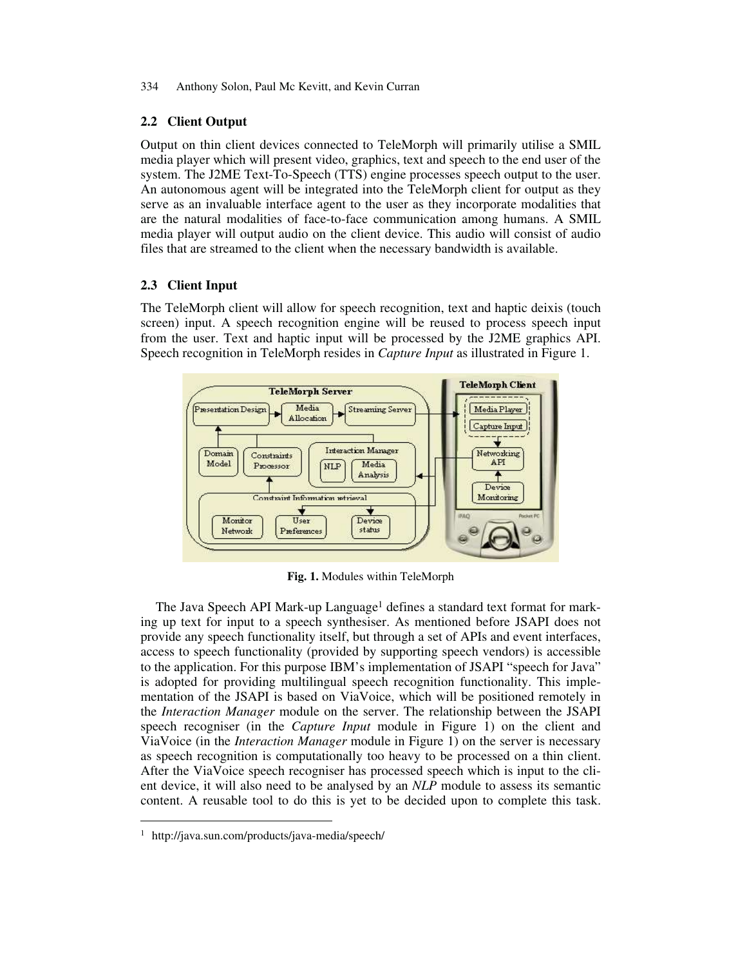## **2.2 Client Output**

Output on thin client devices connected to TeleMorph will primarily utilise a SMIL media player which will present video, graphics, text and speech to the end user of the system. The J2ME Text-To-Speech (TTS) engine processes speech output to the user. An autonomous agent will be integrated into the TeleMorph client for output as they serve as an invaluable interface agent to the user as they incorporate modalities that are the natural modalities of face-to-face communication among humans. A SMIL media player will output audio on the client device. This audio will consist of audio files that are streamed to the client when the necessary bandwidth is available.

## **2.3 Client Input**

The TeleMorph client will allow for speech recognition, text and haptic deixis (touch screen) input. A speech recognition engine will be reused to process speech input from the user. Text and haptic input will be processed by the J2ME graphics API. Speech recognition in TeleMorph resides in *Capture Input* as illustrated in Figure 1.



**Fig. 1.** Modules within TeleMorph

The Java Speech API Mark-up Language<sup>1</sup> defines a standard text format for marking up text for input to a speech synthesiser. As mentioned before JSAPI does not provide any speech functionality itself, but through a set of APIs and event interfaces, access to speech functionality (provided by supporting speech vendors) is accessible to the application. For this purpose IBM's implementation of JSAPI "speech for Java" is adopted for providing multilingual speech recognition functionality. This implementation of the JSAPI is based on ViaVoice, which will be positioned remotely in the *Interaction Manager* module on the server. The relationship between the JSAPI speech recogniser (in the *Capture Input* module in Figure 1) on the client and ViaVoice (in the *Interaction Manager* module in Figure 1) on the server is necessary as speech recognition is computationally too heavy to be processed on a thin client. After the ViaVoice speech recogniser has processed speech which is input to the client device, it will also need to be analysed by an *NLP* module to assess its semantic content. A reusable tool to do this is yet to be decided upon to complete this task.

1

<sup>1</sup> http://java.sun.com/products/java-media/speech/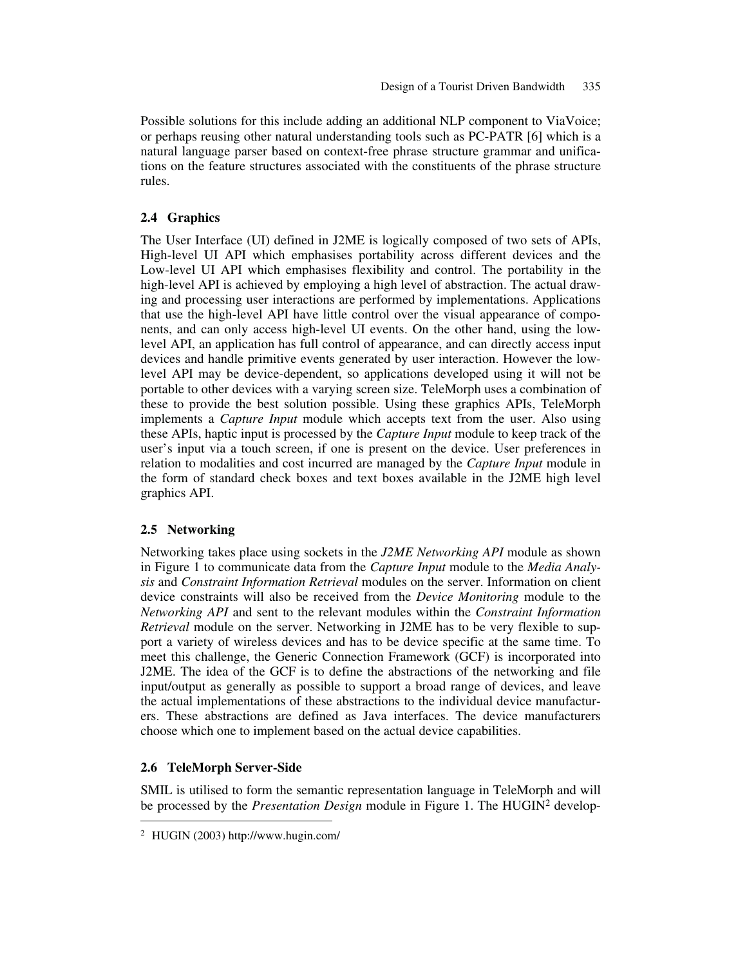Possible solutions for this include adding an additional NLP component to ViaVoice; or perhaps reusing other natural understanding tools such as PC-PATR [6] which is a natural language parser based on context-free phrase structure grammar and unifications on the feature structures associated with the constituents of the phrase structure rules.

### **2.4 Graphics**

The User Interface (UI) defined in J2ME is logically composed of two sets of APIs, High-level UI API which emphasises portability across different devices and the Low-level UI API which emphasises flexibility and control. The portability in the high-level API is achieved by employing a high level of abstraction. The actual drawing and processing user interactions are performed by implementations. Applications that use the high-level API have little control over the visual appearance of components, and can only access high-level UI events. On the other hand, using the lowlevel API, an application has full control of appearance, and can directly access input devices and handle primitive events generated by user interaction. However the lowlevel API may be device-dependent, so applications developed using it will not be portable to other devices with a varying screen size. TeleMorph uses a combination of these to provide the best solution possible. Using these graphics APIs, TeleMorph implements a *Capture Input* module which accepts text from the user. Also using these APIs, haptic input is processed by the *Capture Input* module to keep track of the user's input via a touch screen, if one is present on the device. User preferences in relation to modalities and cost incurred are managed by the *Capture Input* module in the form of standard check boxes and text boxes available in the J2ME high level graphics API.

### **2.5 Networking**

Networking takes place using sockets in the *J2ME Networking API* module as shown in Figure 1 to communicate data from the *Capture Input* module to the *Media Analysis* and *Constraint Information Retrieval* modules on the server. Information on client device constraints will also be received from the *Device Monitoring* module to the *Networking API* and sent to the relevant modules within the *Constraint Information Retrieval* module on the server. Networking in J2ME has to be very flexible to support a variety of wireless devices and has to be device specific at the same time. To meet this challenge, the Generic Connection Framework (GCF) is incorporated into J2ME. The idea of the GCF is to define the abstractions of the networking and file input/output as generally as possible to support a broad range of devices, and leave the actual implementations of these abstractions to the individual device manufacturers. These abstractions are defined as Java interfaces. The device manufacturers choose which one to implement based on the actual device capabilities.

### **2.6 TeleMorph Server-Side**

1

SMIL is utilised to form the semantic representation language in TeleMorph and will be processed by the *Presentation Design* module in Figure 1. The HUGIN<sup>2</sup> develop-

<sup>2</sup> HUGIN (2003) http://www.hugin.com/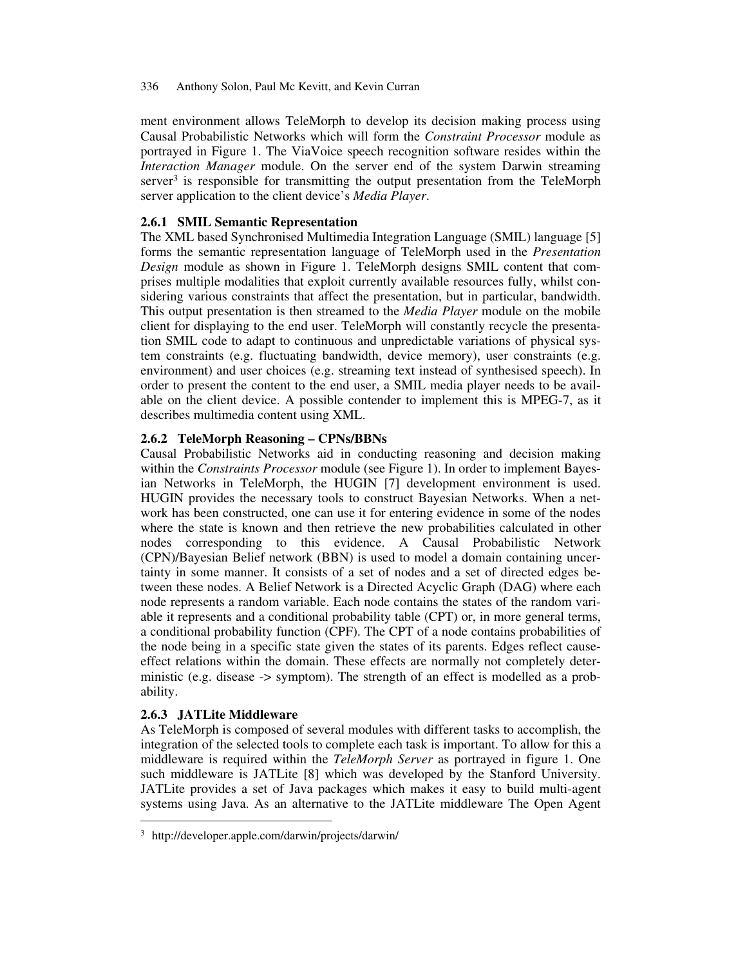ment environment allows TeleMorph to develop its decision making process using Causal Probabilistic Networks which will form the *Constraint Processor* module as portrayed in Figure 1. The ViaVoice speech recognition software resides within the *Interaction Manager* module. On the server end of the system Darwin streaming server<sup>3</sup> is responsible for transmitting the output presentation from the TeleMorph server application to the client device's *Media Player*.

## **2.6.1 SMIL Semantic Representation**

The XML based Synchronised Multimedia Integration Language (SMIL) language [5] forms the semantic representation language of TeleMorph used in the *Presentation Design* module as shown in Figure 1. TeleMorph designs SMIL content that comprises multiple modalities that exploit currently available resources fully, whilst considering various constraints that affect the presentation, but in particular, bandwidth. This output presentation is then streamed to the *Media Player* module on the mobile client for displaying to the end user. TeleMorph will constantly recycle the presentation SMIL code to adapt to continuous and unpredictable variations of physical system constraints (e.g. fluctuating bandwidth, device memory), user constraints (e.g. environment) and user choices (e.g. streaming text instead of synthesised speech). In order to present the content to the end user, a SMIL media player needs to be available on the client device. A possible contender to implement this is MPEG-7, as it describes multimedia content using XML.

## **2.6.2 TeleMorph Reasoning – CPNs/BBNs**

Causal Probabilistic Networks aid in conducting reasoning and decision making within the *Constraints Processor* module (see Figure 1). In order to implement Bayesian Networks in TeleMorph, the HUGIN [7] development environment is used. HUGIN provides the necessary tools to construct Bayesian Networks. When a network has been constructed, one can use it for entering evidence in some of the nodes where the state is known and then retrieve the new probabilities calculated in other nodes corresponding to this evidence. A Causal Probabilistic Network (CPN)/Bayesian Belief network (BBN) is used to model a domain containing uncertainty in some manner. It consists of a set of nodes and a set of directed edges between these nodes. A Belief Network is a Directed Acyclic Graph (DAG) where each node represents a random variable. Each node contains the states of the random variable it represents and a conditional probability table (CPT) or, in more general terms, a conditional probability function (CPF). The CPT of a node contains probabilities of the node being in a specific state given the states of its parents. Edges reflect causeeffect relations within the domain. These effects are normally not completely deterministic (e.g. disease -> symptom). The strength of an effect is modelled as a probability.

### **2.6.3 JATLite Middleware**

1

As TeleMorph is composed of several modules with different tasks to accomplish, the integration of the selected tools to complete each task is important. To allow for this a middleware is required within the *TeleMorph Server* as portrayed in figure 1. One such middleware is JATLite [8] which was developed by the Stanford University. JATLite provides a set of Java packages which makes it easy to build multi-agent systems using Java. As an alternative to the JATLite middleware The Open Agent

<sup>3</sup> http://developer.apple.com/darwin/projects/darwin/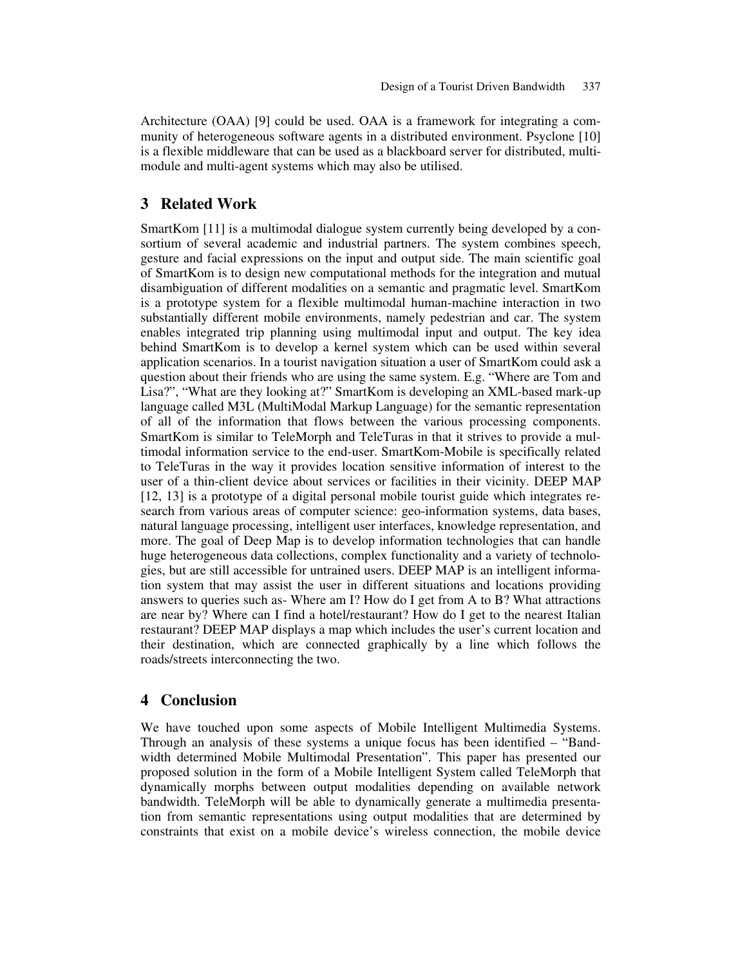Architecture (OAA) [9] could be used. OAA is a framework for integrating a community of heterogeneous software agents in a distributed environment. Psyclone [10] is a flexible middleware that can be used as a blackboard server for distributed, multimodule and multi-agent systems which may also be utilised.

# **3 Related Work**

SmartKom [11] is a multimodal dialogue system currently being developed by a consortium of several academic and industrial partners. The system combines speech, gesture and facial expressions on the input and output side. The main scientific goal of SmartKom is to design new computational methods for the integration and mutual disambiguation of different modalities on a semantic and pragmatic level. SmartKom is a prototype system for a flexible multimodal human-machine interaction in two substantially different mobile environments, namely pedestrian and car. The system enables integrated trip planning using multimodal input and output. The key idea behind SmartKom is to develop a kernel system which can be used within several application scenarios. In a tourist navigation situation a user of SmartKom could ask a question about their friends who are using the same system. E.g. "Where are Tom and Lisa?", "What are they looking at?" SmartKom is developing an XML-based mark-up language called M3L (MultiModal Markup Language) for the semantic representation of all of the information that flows between the various processing components. SmartKom is similar to TeleMorph and TeleTuras in that it strives to provide a multimodal information service to the end-user. SmartKom-Mobile is specifically related to TeleTuras in the way it provides location sensitive information of interest to the user of a thin-client device about services or facilities in their vicinity. DEEP MAP [12, 13] is a prototype of a digital personal mobile tourist guide which integrates research from various areas of computer science: geo-information systems, data bases, natural language processing, intelligent user interfaces, knowledge representation, and more. The goal of Deep Map is to develop information technologies that can handle huge heterogeneous data collections, complex functionality and a variety of technologies, but are still accessible for untrained users. DEEP MAP is an intelligent information system that may assist the user in different situations and locations providing answers to queries such as- Where am I? How do I get from A to B? What attractions are near by? Where can I find a hotel/restaurant? How do I get to the nearest Italian restaurant? DEEP MAP displays a map which includes the user's current location and their destination, which are connected graphically by a line which follows the roads/streets interconnecting the two.

# **4 Conclusion**

We have touched upon some aspects of Mobile Intelligent Multimedia Systems. Through an analysis of these systems a unique focus has been identified – "Bandwidth determined Mobile Multimodal Presentation". This paper has presented our proposed solution in the form of a Mobile Intelligent System called TeleMorph that dynamically morphs between output modalities depending on available network bandwidth. TeleMorph will be able to dynamically generate a multimedia presentation from semantic representations using output modalities that are determined by constraints that exist on a mobile device's wireless connection, the mobile device